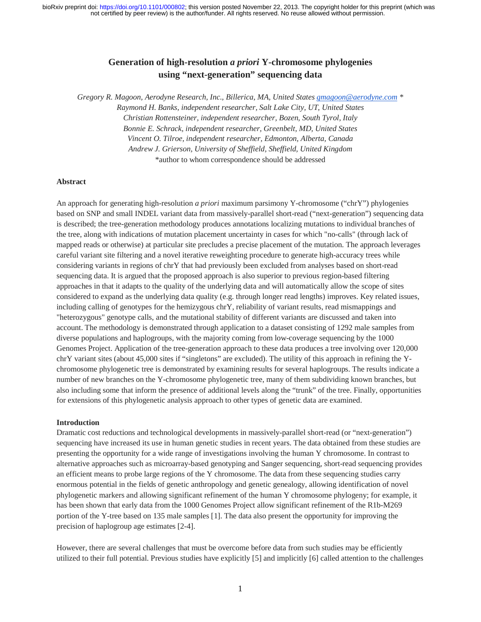# **Generation of high-resolution** *a priori* **Y-chromosome phylogenies using "next-generation" sequencing data**

*Gregory R. Magoon, Aerodyne Research, Inc., Billerica, MA, United States gmagoon@aerodyne.com \* Raymond H. Banks, independent researcher, Salt Lake City, UT, United States Christian Rottensteiner, independent researcher, Bozen, South Tyrol, Italy Bonnie E. Schrack, independent researcher, Greenbelt, MD, United States Vincent O. Tilroe, independent researcher, Edmonton, Alberta, Canada Andrew J. Grierson, University of Sheffield, Sheffield, United Kingdom* \*author to whom correspondence should be addressed

#### **Abstract**

An approach for generating high-resolution *a priori* maximum parsimony Y-chromosome ("chrY") phylogenies based on SNP and small INDEL variant data from massively-parallel short-read ("next-generation") sequencing data is described; the tree-generation methodology produces annotations localizing mutations to individual branches of the tree, along with indications of mutation placement uncertainty in cases for which "no-calls" (through lack of mapped reads or otherwise) at particular site precludes a precise placement of the mutation. The approach leverages careful variant site filtering and a novel iterative reweighting procedure to generate high-accuracy trees while considering variants in regions of chrY that had previously been excluded from analyses based on short-read sequencing data. It is argued that the proposed approach is also superior to previous region-based filtering approaches in that it adapts to the quality of the underlying data and will automatically allow the scope of sites considered to expand as the underlying data quality (e.g. through longer read lengths) improves. Key related issues, including calling of genotypes for the hemizygous chrY, reliability of variant results, read mismappings and "heterozygous" genotype calls, and the mutational stability of different variants are discussed and taken into account. The methodology is demonstrated through application to a dataset consisting of 1292 male samples from diverse populations and haplogroups, with the majority coming from low-coverage sequencing by the 1000 Genomes Project. Application of the tree-generation approach to these data produces a tree involving over 120,000 chrY variant sites (about 45,000 sites if "singletons" are excluded). The utility of this approach in refining the Ychromosome phylogenetic tree is demonstrated by examining results for several haplogroups. The results indicate a number of new branches on the Y-chromosome phylogenetic tree, many of them subdividing known branches, but also including some that inform the presence of additional levels along the "trunk" of the tree. Finally, opportunities for extensions of this phylogenetic analysis approach to other types of genetic data are examined.

#### **Introduction**

Dramatic cost reductions and technological developments in massively-parallel short-read (or "next-generation") sequencing have increased its use in human genetic studies in recent years. The data obtained from these studies are presenting the opportunity for a wide range of investigations involving the human Y chromosome. In contrast to alternative approaches such as microarray-based genotyping and Sanger sequencing, short-read sequencing provides an efficient means to probe large regions of the Y chromosome. The data from these sequencing studies carry enormous potential in the fields of genetic anthropology and genetic genealogy, allowing identification of novel phylogenetic markers and allowing significant refinement of the human Y chromosome phylogeny; for example, it has been shown that early data from the 1000 Genomes Project allow significant refinement of the R1b-M269 portion of the Y-tree based on 135 male samples [1]. The data also present the opportunity for improving the precision of haplogroup age estimates [2-4].

However, there are several challenges that must be overcome before data from such studies may be efficiently utilized to their full potential. Previous studies have explicitly [5] and implicitly [6] called attention to the challenges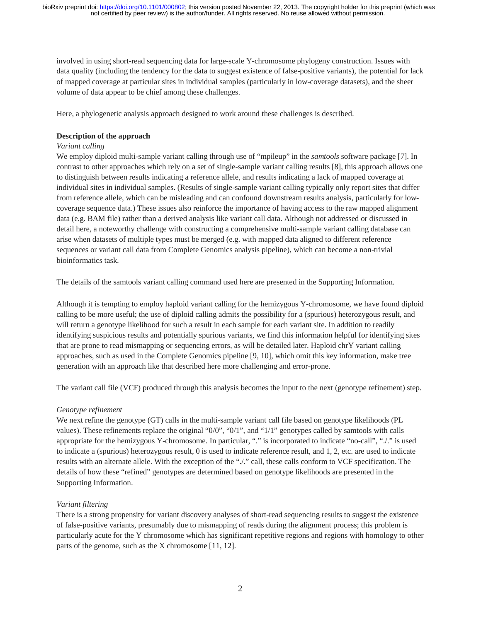involved in using short-read sequencing data for large-scale Y-chromosome phylogeny construction. Issues with data quality (including the tendency for the data to suggest existence of false-positive variants), the potential for lack of mapped coverage at particular sites in individual samples (particularly in low-coverage datasets), and the sheer volume of data appear to be chief among these challenges.

Here, a phylogenetic analysis approach designed to work around these challenges is described.

### **Description of the approach**

### *Variant calling*

We employ diploid multi-sample variant calling through use of "mpileup" in the *samtools* software package [7]. In contrast to other approaches which rely on a set of single-sample variant calling results [8], this approach allows one to distinguish between results indicating a reference allele, and results indicating a lack of mapped coverage at individual sites in individual samples. (Results of single-sample variant calling typically only report sites that differ from reference allele, which can be misleading and can confound downstream results analysis, particularly for lowcoverage sequence data.) These issues also reinforce the importance of having access to the raw mapped alignment data (e.g. BAM file) rather than a derived analysis like variant call data. Although not addressed or discussed in detail here, a noteworthy challenge with constructing a comprehensive multi-sample variant calling database can arise when datasets of multiple types must be merged (e.g. with mapped data aligned to different reference sequences or variant call data from Complete Genomics analysis pipeline), which can become a non-trivial bioinformatics task.

The details of the samtools variant calling command used here are presented in the Supporting Information.

Although it is tempting to employ haploid variant calling for the hemizygous Y-chromosome, we have found diploid calling to be more useful; the use of diploid calling admits the possibility for a (spurious) heterozygous result, and will return a genotype likelihood for such a result in each sample for each variant site. In addition to readily identifying suspicious results and potentially spurious variants, we find this information helpful for identifying sites that are prone to read mismapping or sequencing errors, as will be detailed later. Haploid chrY variant calling approaches, such as used in the Complete Genomics pipeline [9, 10], which omit this key information, make tree generation with an approach like that described here more challenging and error-prone.

The variant call file (VCF) produced through this analysis becomes the input to the next (genotype refinement) step.

### *Genotype refinement*

We next refine the genotype (GT) calls in the multi-sample variant call file based on genotype likelihoods (PL values). These refinements replace the original "0/0", "0/1", and "1/1" genotypes called by samtools with calls appropriate for the hemizygous Y-chromosome. In particular, "." is incorporated to indicate "no-call", "./." is used to indicate a (spurious) heterozygous result, 0 is used to indicate reference result, and 1, 2, etc. are used to indicate results with an alternate allele. With the exception of the "..." call, these calls conform to VCF specification. The details of how these "refined" genotypes are determined based on genotype likelihoods are presented in the Supporting Information.

### *Variant filtering*

There is a strong propensity for variant discovery analyses of short-read sequencing results to suggest the existence of false-positive variants, presumably due to mismapping of reads during the alignment process; this problem is particularly acute for the Y chromosome which has significant repetitive regions and regions with homology to other parts of the genome, such as the X chromosome [11, 12].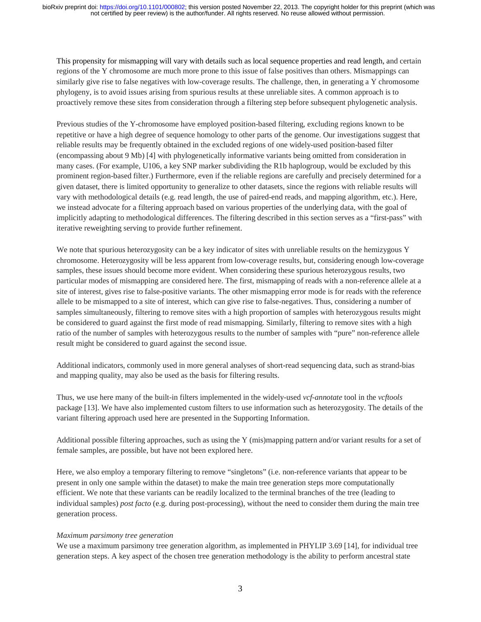This propensity for mismapping will vary with details such as local sequence properties and read length, and certain regions of the Y chromosome are much more prone to this issue of false positives than others. Mismappings can similarly give rise to false negatives with low-coverage results. The challenge, then, in generating a Y chromosome phylogeny, is to avoid issues arising from spurious results at these unreliable sites. A common approach is to proactively remove these sites from consideration through a filtering step before subsequent phylogenetic analysis.

Previous studies of the Y-chromosome have employed position-based filtering, excluding regions known to be repetitive or have a high degree of sequence homology to other parts of the genome. Our investigations suggest that reliable results may be frequently obtained in the excluded regions of one widely-used position-based filter (encompassing about 9 Mb) [4] with phylogenetically informative variants being omitted from consideration in many cases. (For example, U106, a key SNP marker subdividing the R1b haplogroup, would be excluded by this prominent region-based filter.) Furthermore, even if the reliable regions are carefully and precisely determined for a given dataset, there is limited opportunity to generalize to other datasets, since the regions with reliable results will vary with methodological details (e.g. read length, the use of paired-end reads, and mapping algorithm, etc.). Here, we instead advocate for a filtering approach based on various properties of the underlying data, with the goal of implicitly adapting to methodological differences. The filtering described in this section serves as a "first-pass" with iterative reweighting serving to provide further refinement.

We note that spurious heterozygosity can be a key indicator of sites with unreliable results on the hemizygous Y chromosome. Heterozygosity will be less apparent from low-coverage results, but, considering enough low-coverage samples, these issues should become more evident. When considering these spurious heterozygous results, two particular modes of mismapping are considered here. The first, mismapping of reads with a non-reference allele at a site of interest, gives rise to false-positive variants. The other mismapping error mode is for reads with the reference allele to be mismapped to a site of interest, which can give rise to false-negatives. Thus, considering a number of samples simultaneously, filtering to remove sites with a high proportion of samples with heterozygous results might be considered to guard against the first mode of read mismapping. Similarly, filtering to remove sites with a high ratio of the number of samples with heterozygous results to the number of samples with "pure" non-reference allele result might be considered to guard against the second issue.

Additional indicators, commonly used in more general analyses of short-read sequencing data, such as strand-bias and mapping quality, may also be used as the basis for filtering results.

Thus, we use here many of the built-in filters implemented in the widely-used *vcf-annotate* tool in the *vcftools* package [13]. We have also implemented custom filters to use information such as heterozygosity. The details of the variant filtering approach used here are presented in the Supporting Information.

Additional possible filtering approaches, such as using the Y (mis)mapping pattern and/or variant results for a set of female samples, are possible, but have not been explored here.

Here, we also employ a temporary filtering to remove "singletons" (i.e. non-reference variants that appear to be present in only one sample within the dataset) to make the main tree generation steps more computationally efficient. We note that these variants can be readily localized to the terminal branches of the tree (leading to individual samples) *post facto* (e.g. during post-processing), without the need to consider them during the main tree generation process.

#### *Maximum parsimony tree generation*

We use a maximum parsimony tree generation algorithm, as implemented in PHYLIP 3.69 [14], for individual tree generation steps. A key aspect of the chosen tree generation methodology is the ability to perform ancestral state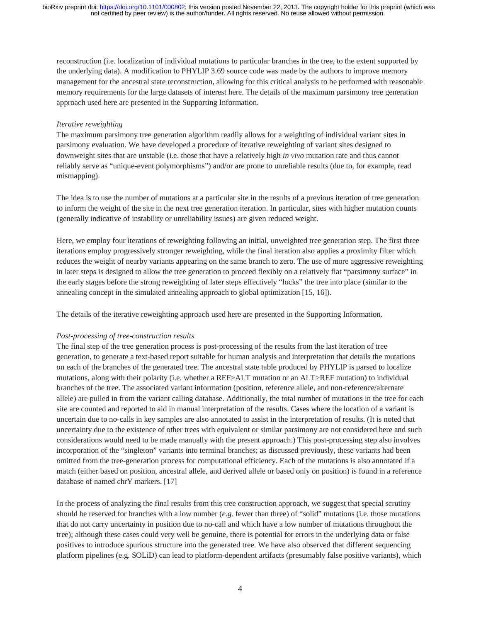reconstruction (i.e. localization of individual mutations to particular branches in the tree, to the extent supported by the underlying data). A modification to PHYLIP 3.69 source code was made by the authors to improve memory management for the ancestral state reconstruction, allowing for this critical analysis to be performed with reasonable memory requirements for the large datasets of interest here. The details of the maximum parsimony tree generation approach used here are presented in the Supporting Information.

#### *Iterative reweighting*

The maximum parsimony tree generation algorithm readily allows for a weighting of individual variant sites in parsimony evaluation. We have developed a procedure of iterative reweighting of variant sites designed to downweight sites that are unstable (i.e. those that have a relatively high *in vivo* mutation rate and thus cannot reliably serve as "unique-event polymorphisms") and/or are prone to unreliable results (due to, for example, read mismapping).

The idea is to use the number of mutations at a particular site in the results of a previous iteration of tree generation to inform the weight of the site in the next tree generation iteration. In particular, sites with higher mutation counts (generally indicative of instability or unreliability issues) are given reduced weight.

Here, we employ four iterations of reweighting following an initial, unweighted tree generation step. The first three iterations employ progressively stronger reweighting, while the final iteration also applies a proximity filter which reduces the weight of nearby variants appearing on the same branch to zero. The use of more aggressive reweighting in later steps is designed to allow the tree generation to proceed flexibly on a relatively flat "parsimony surface" in the early stages before the strong reweighting of later steps effectively "locks" the tree into place (similar to the annealing concept in the simulated annealing approach to global optimization [15, 16]).

The details of the iterative reweighting approach used here are presented in the Supporting Information.

### *Post-processing of tree-construction results*

The final step of the tree generation process is post-processing of the results from the last iteration of tree generation, to generate a text-based report suitable for human analysis and interpretation that details the mutations on each of the branches of the generated tree. The ancestral state table produced by PHYLIP is parsed to localize mutations, along with their polarity (i.e. whether a REF>ALT mutation or an ALT>REF mutation) to individual branches of the tree. The associated variant information (position, reference allele, and non-reference/alternate allele) are pulled in from the variant calling database. Additionally, the total number of mutations in the tree for each site are counted and reported to aid in manual interpretation of the results. Cases where the location of a variant is uncertain due to no-calls in key samples are also annotated to assist in the interpretation of results. (It is noted that uncertainty due to the existence of other trees with equivalent or similar parsimony are not considered here and such considerations would need to be made manually with the present approach.) This post-processing step also involves incorporation of the "singleton" variants into terminal branches; as discussed previously, these variants had been omitted from the tree-generation process for computational efficiency. Each of the mutations is also annotated if a match (either based on position, ancestral allele, and derived allele or based only on position) is found in a reference database of named chrY markers. [17]

In the process of analyzing the final results from this tree construction approach, we suggest that special scrutiny should be reserved for branches with a low number (*e.g.* fewer than three) of "solid" mutations (i.e. those mutations that do not carry uncertainty in position due to no-call and which have a low number of mutations throughout the tree); although these cases could very well be genuine, there is potential for errors in the underlying data or false positives to introduce spurious structure into the generated tree. We have also observed that different sequencing platform pipelines (e.g. SOLiD) can lead to platform-dependent artifacts (presumably false positive variants), which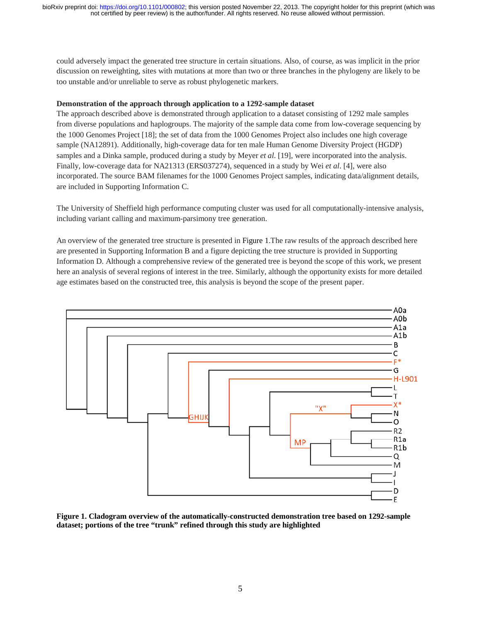could adversely impact the generated tree structure in certain situations. Also, of course, as was implicit in the prior discussion on reweighting, sites with mutations at more than two or three branches in the phylogeny are likely to be too unstable and/or unreliable to serve as robust phylogenetic markers.

#### **Demonstration of the approach through application to a 1292-sample dataset**

The approach described above is demonstrated through application to a dataset consisting of 1292 male samples from diverse populations and haplogroups. The majority of the sample data come from low-coverage sequencing by the 1000 Genomes Project [18]; the set of data from the 1000 Genomes Project also includes one high coverage sample (NA12891). Additionally, high-coverage data for ten male Human Genome Diversity Project (HGDP) samples and a Dinka sample, produced during a study by Meyer *et al.* [19], were incorporated into the analysis. Finally, low-coverage data for NA21313 (ERS037274), sequenced in a study by Wei *et al*. [4], were also incorporated. The source BAM filenames for the 1000 Genomes Project samples, indicating data/alignment details, are included in Supporting Information C.

The University of Sheffield high performance computing cluster was used for all computationally-intensive analysis, including variant calling and maximum-parsimony tree generation.

An overview of the generated tree structure is presented in Figure 1.The raw results of the approach described here are presented in Supporting Information B and a figure depicting the tree structure is provided in Supporting Information D. Although a comprehensive review of the generated tree is beyond the scope of this work, we present here an analysis of several regions of interest in the tree. Similarly, although the opportunity exists for more detailed age estimates based on the constructed tree, this analysis is beyond the scope of the present paper.



**Figure 1. Cladogram overview of the automatically-constructed demonstration tree based on 1292-sample dataset; portions of the tree "trunk" refined through this study are highlighted**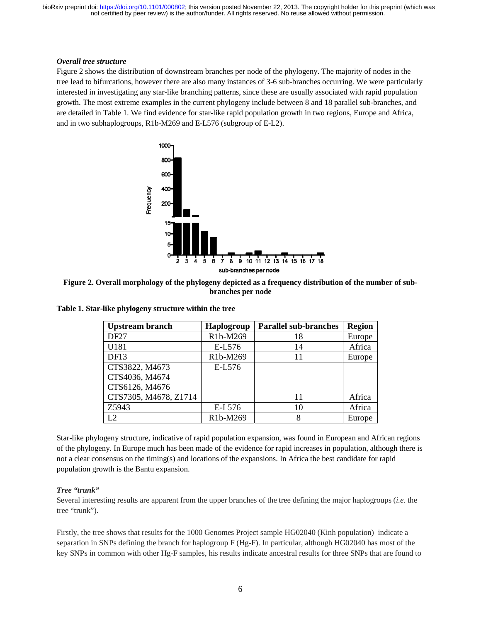#### *Overall tree structure*

Figure 2 shows the distribution of downstream branches per node of the phylogeny. The majority of nodes in the tree lead to bifurcations, however there are also many instances of 3-6 sub-branches occurring. We were particularly interested in investigating any star-like branching patterns, since these are usually associated with rapid population growth. The most extreme examples in the current phylogeny include between 8 and 18 parallel sub-branches, and are detailed in Table 1. We find evidence for star-like rapid population growth in two regions, Europe and Africa, and in two subhaplogroups, R1b-M269 and E-L576 (subgroup of E-L2).



**Figure 2. Overall morphology of the phylogeny depicted as a frequency distribution of the number of subbranches per node** 

| not certified by peer review) is the author/funder. All rights reserved. No reuse allowed without permission.                                                                                                                                                                                                                                                                                                                                                                                                                                                                                                               |                               |                              |                  |  |  |  |
|-----------------------------------------------------------------------------------------------------------------------------------------------------------------------------------------------------------------------------------------------------------------------------------------------------------------------------------------------------------------------------------------------------------------------------------------------------------------------------------------------------------------------------------------------------------------------------------------------------------------------------|-------------------------------|------------------------------|------------------|--|--|--|
| e structure<br>nows the distribution of downstream branches per node of the phylogeny. The majority of nodes in the<br>bifurcations, however there are also many instances of 3-6 sub-branches occurring. We were particularly<br>in investigating any star-like branching patterns, since these are usually associated with rapid population<br>e most extreme examples in the current phylogeny include between 8 and 18 parallel sub-branches, and<br>I in Table 1. We find evidence for star-like rapid population growth in two regions, Europe and Africa,<br>subhaplogroups, R1b-M269 and E-L576 (subgroup of E-L2). |                               |                              |                  |  |  |  |
| 1000<br>800-<br>600-<br>400-<br>Frequency<br>200                                                                                                                                                                                                                                                                                                                                                                                                                                                                                                                                                                            |                               |                              |                  |  |  |  |
| 15<br>10-<br>5<br>2 3 4 5 6 7<br>9 10 11 12 13 14 15 16 17<br>8<br>sub-branches per node                                                                                                                                                                                                                                                                                                                                                                                                                                                                                                                                    |                               |                              |                  |  |  |  |
| . Overall morphology of the phylogeny depicted as a frequency distribution of the number of sub-<br>branches per node<br>tar-like phylogeny structure within the tree                                                                                                                                                                                                                                                                                                                                                                                                                                                       |                               |                              |                  |  |  |  |
|                                                                                                                                                                                                                                                                                                                                                                                                                                                                                                                                                                                                                             |                               |                              |                  |  |  |  |
| <b>Upstream branch</b><br>DF <sub>27</sub>                                                                                                                                                                                                                                                                                                                                                                                                                                                                                                                                                                                  | <b>Haplogroup</b><br>R1b-M269 | <b>Parallel sub-branches</b> | <b>Region</b>    |  |  |  |
| U181                                                                                                                                                                                                                                                                                                                                                                                                                                                                                                                                                                                                                        | E-L576                        | 18<br>14                     | Europe<br>Africa |  |  |  |
| DF <sub>13</sub>                                                                                                                                                                                                                                                                                                                                                                                                                                                                                                                                                                                                            | R1b-M269                      | 11                           | Europe           |  |  |  |
| CTS3822, M4673                                                                                                                                                                                                                                                                                                                                                                                                                                                                                                                                                                                                              | E-L576                        |                              |                  |  |  |  |
| CTS4036, M4674<br>CTS6126, M4676                                                                                                                                                                                                                                                                                                                                                                                                                                                                                                                                                                                            |                               |                              |                  |  |  |  |
| CTS7305, M4678, Z1714                                                                                                                                                                                                                                                                                                                                                                                                                                                                                                                                                                                                       |                               | 11                           | Africa           |  |  |  |
| Z5943                                                                                                                                                                                                                                                                                                                                                                                                                                                                                                                                                                                                                       | E-L576                        | 10                           | Africa           |  |  |  |
| L2                                                                                                                                                                                                                                                                                                                                                                                                                                                                                                                                                                                                                          | R1b-M269                      | 8                            | Europe           |  |  |  |
| hylogeny structure, indicative of rapid population expansion, was found in European and African regions<br>ogeny. In Europe much has been made of the evidence for rapid increases in population, although there is<br>consensus on the timing(s) and locations of the expansions. In Africa the best candidate for rapid                                                                                                                                                                                                                                                                                                   |                               |                              |                  |  |  |  |
|                                                                                                                                                                                                                                                                                                                                                                                                                                                                                                                                                                                                                             |                               |                              |                  |  |  |  |
| growth is the Bantu expansion.<br>$k$ "<br>eresting results are apparent from the upper branches of the tree defining the major haplogroups ( <i>i.e.</i> the<br>").<br>tree shows that results for the 1000 Genomes Project sample HG02040 (Kinh population) indicate a                                                                                                                                                                                                                                                                                                                                                    |                               |                              |                  |  |  |  |

**Table 1. Star-like phylogeny structure within the tree** 

Star-like phylogeny structure, indicative of rapid population expansion, was found in European and African regions of the phylogeny. In Europe much has been made of the evidence for rapid increases in population, although there is not a clear consensus on the timing(s) and locations of the expansions. In Africa the best candidate for rapid population growth is the Bantu expansion.

#### *Tree "trunk"*

Several interesting results are apparent from the upper branches of the tree defining the major haplogroups (*i.e.* the tree "trunk").

Firstly, the tree shows that results for the 1000 Genomes Project sample HG02040 (Kinh population) indicate a separation in SNPs defining the branch for haplogroup F (Hg-F). In particular, although HG02040 has most of the key SNPs in common with other Hg-F samples, his results indicate ancestral results for three SNPs that are found to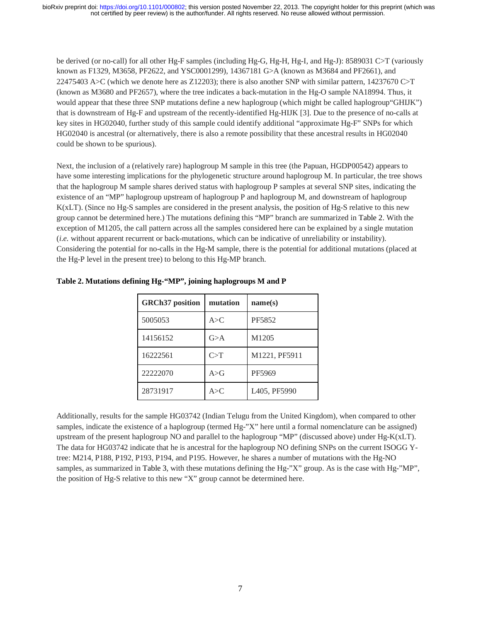be derived (or no-call) for all other Hg-F samples (including Hg-G, Hg-H, Hg-I, and Hg-J): 8589031 C>T (variously known as F1329, M3658, PF2622, and YSC0001299), 14367181 G>A (known as M3684 and PF2661), and 22475403 A>C (which we denote here as Z12203); there is also another SNP with similar pattern, 14237670 C>T (known as M3680 and PF2657), where the tree indicates a back-mutation in the Hg-O sample NA18994. Thus, it would appear that these three SNP mutations define a new haplogroup (which might be called haplogroup"GHIJK") that is downstream of Hg-F and upstream of the recently-identified Hg-HIJK [3]. Due to the presence of no-calls at key sites in HG02040, further study of this sample could identify additional "approximate Hg-F" SNPs for which HG02040 is ancestral (or alternatively, there is also a remote possibility that these ancestral results in HG02040 could be shown to be spurious).

Next, the inclusion of a (relatively rare) haplogroup M sample in this tree (the Papuan, HGDP00542) appears to have some interesting implications for the phylogenetic structure around haplogroup M. In particular, the tree shows that the haplogroup M sample shares derived status with haplogroup P samples at several SNP sites, indicating the existence of an "MP" haplogroup upstream of haplogroup P and haplogroup M, and downstream of haplogroup K(xLT). (Since no Hg-S samples are considered in the present analysis, the position of Hg-S relative to this new group cannot be determined here.) The mutations defining this "MP" branch are summarized in Table 2. With the exception of M1205, the call pattern across all the samples considered here can be explained by a single mutation (*i.e.* without apparent recurrent or back-mutations, which can be indicative of unreliability or instability). Considering the potential for no-calls in the Hg-M sample, there is the potential for additional mutations (placed at the Hg-P level in the present tree) to belong to this Hg-MP branch.

| <b>GRCh37</b> position | mutation | name(s)       |
|------------------------|----------|---------------|
| 5005053                | A > C    | PF5852        |
| 14156152               | G>A      | M1205         |
| 16222561               | C > T    | M1221, PF5911 |
| 22222070               | A > G    | PF5969        |
| 28731917               | A > C    | L405, PF5990  |

**Table 2. Mutations defining Hg-"MP", joining haplogroups M and P** 

Additionally, results for the sample HG03742 (Indian Telugu from the United Kingdom), when compared to other samples, indicate the existence of a haplogroup (termed Hg-"X" here until a formal nomenclature can be assigned) upstream of the present haplogroup NO and parallel to the haplogroup "MP" (discussed above) under Hg-K(xLT). The data for HG03742 indicate that he is ancestral for the haplogroup NO defining SNPs on the current ISOGG Ytree: M214, P188, P192, P193, P194, and P195. However, he shares a number of mutations with the Hg-NO samples, as summarized in Table 3, with these mutations defining the Hg-"X" group. As is the case with Hg-"MP", the position of Hg-S relative to this new "X" group cannot be determined here.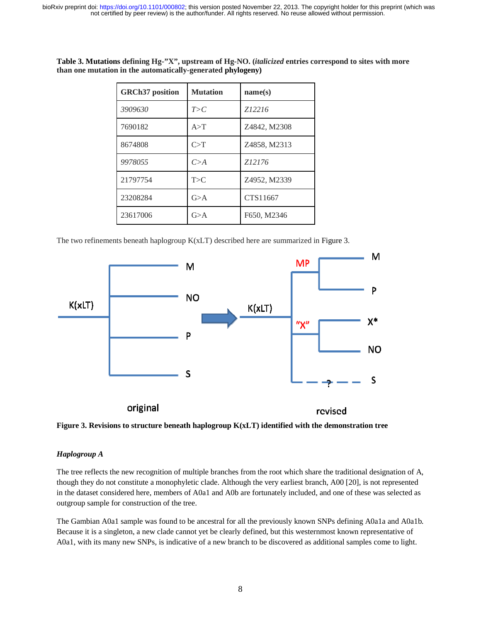| <b>GRCh37</b> position | <b>Mutation</b> | name(s)      |
|------------------------|-----------------|--------------|
| 3909630                | T>C             | Z12216       |
| 7690182                | A > T           | Z4842, M2308 |
| 8674808                | C>T             | Z4858, M2313 |
| 9978055                | C > A           | Z12176       |
| 21797754               | T>C             | Z4952, M2339 |
| 23208284               | G>A             | CTS11667     |
| 23617006               | G > A           | F650, M2346  |

**Table 3. Mutations defining Hg-"X", upstream of Hg-NO. (***italicized* **entries correspond to sites with more than one mutation in the automatically-generated phylogeny)** 

The two refinements beneath haplogroup K(xLT) described here are summarized in Figure 3.





### *Haplogroup A*

The tree reflects the new recognition of multiple branches from the root which share the traditional designation of A, though they do not constitute a monophyletic clade. Although the very earliest branch, A00 [20], is not represented in the dataset considered here, members of A0a1 and A0b are fortunately included, and one of these was selected as outgroup sample for construction of the tree. in the dataset considered here, members of A0a1 and A0b are fortunately included, and one of these was selected as<br>outgroup sample for construction of the tree.<br>The Gambian A0a1 sample was found to be ancestral for all the

Because it is a singleton, a new clade cannot yet be clearly defined, but this westernmost known representative of A0a1, with its many new SNPs, is indicative of a new branch to be discovered as additional samples come to light.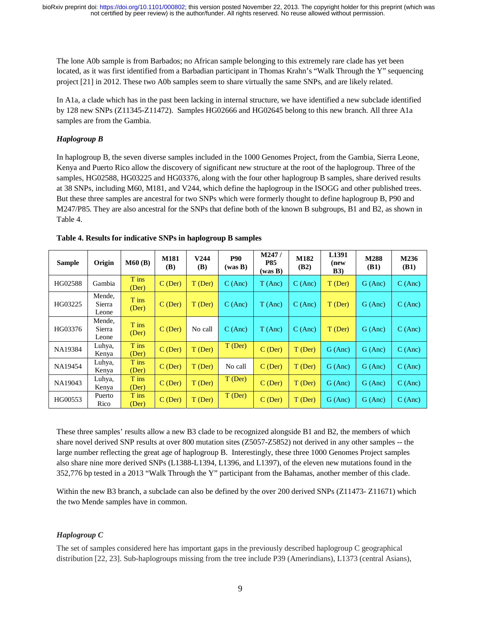The lone A0b sample is from Barbados; no African sample belonging to this extremely rare clade has yet been located, as it was first identified from a Barbadian participant in Thomas Krahn's "Walk Through the Y" sequencing project [21] in 2012. These two A0b samples seem to share virtually the same SNPs, and are likely related.

In A1a, a clade which has in the past been lacking in internal structure, we have identified a new subclade identified by 128 new SNPs (Z11345-Z11472). Samples HG02666 and HG02645 belong to this new branch. All three A1a samples are from the Gambia.

### *Haplogroup B*

In haplogroup B, the seven diverse samples included in the 1000 Genomes Project, from the Gambia, Sierra Leone, Kenya and Puerto Rico allow the discovery of significant new structure at the root of the haplogroup. Three of the samples, HG02588, HG03225 and HG03376, along with the four other haplogroup B samples, share derived results at 38 SNPs, including M60, M181, and V244, which define the haplogroup in the ISOGG and other published trees. But these three samples are ancestral for two SNPs which were formerly thought to define haplogroup B, P90 and M247/P85. They are also ancestral for the SNPs that define both of the known B subgroups, B1 and B2, as shown in Table 4.

| <b>Sample</b> | Origin                    | M60(B)         | <b>M181</b><br><b>(B)</b> | V244<br><b>(B)</b> | <b>P90</b><br>(was B) | M247/<br><b>P85</b><br>(was B) | M182<br>(B2) | L <sub>1391</sub><br>(new<br>B3) | M288<br>(B1) | M236<br><b>(B1)</b> |
|---------------|---------------------------|----------------|---------------------------|--------------------|-----------------------|--------------------------------|--------------|----------------------------------|--------------|---------------------|
| HG02588       | Gambia                    | T ins<br>(Der) | $C$ (Der)                 | T (Der)            | C(Anc)                | T(Anc)                         | C(Anc)       | $T$ (Der)                        | G (Anc)      | C(Anc)              |
| HG03225       | Mende,<br>Sierra<br>Leone | T ins<br>(Der) | $C$ (Der)                 | T (Der)            | C(Anc)                | T(Anc)                         | C(Anc)       | $T$ (Der)                        | G(Anc)       | C(Anc)              |
| HG03376       | Mende,<br>Sierra<br>Leone | T ins<br>(Der) | $C$ (Der)                 | No call            | C(Anc)                | T(Anc)                         | C(Anc)       | T (Der)                          | G(Anc)       | C(Anc)              |
| NA19384       | Luhya,<br>Kenya           | T ins<br>(Der) | $C$ (Der)                 | $T$ (Der)          | T (Der)               | $C$ (Der)                      | T (Der)      | G(Anc)                           | G (Anc)      | C (Anc)             |
| NA19454       | Luhya,<br>Kenya           | T ins<br>(Der) | $C$ (Der)                 | T (Der)            | No call               | $C$ (Der).                     | T (Der)      | G(Anc)                           | G (Anc)      | C (Anc)             |
| NA19043       | Luhya,<br>Kenya           | T ins<br>(Der) | $C$ (Der)                 | $T$ (Der)          | $T$ (Der)             | $C$ (Der)                      | T (Der)      | G(Anc)                           | $G$ (Anc)    | C(Anc)              |
| HG00553       | Puerto<br>Rico            | T ins<br>(Der) | $C$ (Der)                 | T (Der)            | T (Der)               | $C$ (Der)                      | T (Der)      | G(Anc)                           | G(Anc)       | C(Anc)              |

|  |  | Table 4. Results for indicative SNPs in haplogroup B samples |  |
|--|--|--------------------------------------------------------------|--|
|  |  |                                                              |  |

These three samples' results allow a new B3 clade to be recognized alongside B1 and B2, the members of which share novel derived SNP results at over 800 mutation sites (Z5057-Z5852) not derived in any other samples -- the large number reflecting the great age of haplogroup B. Interestingly, these three 1000 Genomes Project samples also share nine more derived SNPs (L1388-L1394, L1396, and L1397), of the eleven new mutations found in the 352,776 bp tested in a 2013 "Walk Through the Y" participant from the Bahamas, another member of this clade.

Within the new B3 branch, a subclade can also be defined by the over 200 derived SNPs (Z11473- Z11671) which the two Mende samples have in common.

# *Haplogroup C*

The set of samples considered here has important gaps in the previously described haplogroup C geographical distribution [22, 23]. Sub-haplogroups missing from the tree include P39 (Amerindians), L1373 (central Asians),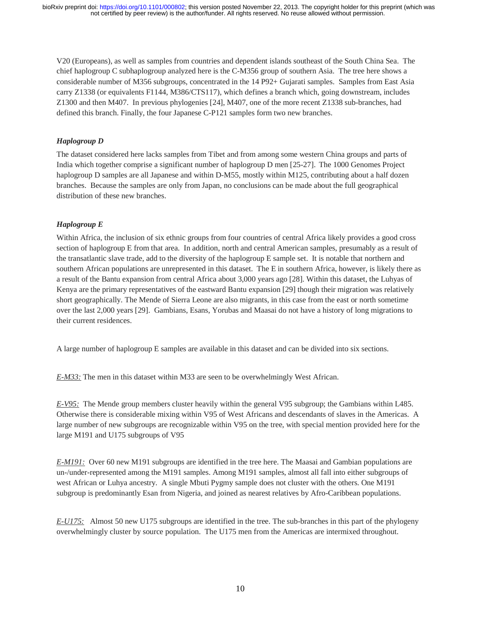V20 (Europeans), as well as samples from countries and dependent islands southeast of the South China Sea. The chief haplogroup C subhaplogroup analyzed here is the C-M356 group of southern Asia. The tree here shows a considerable number of M356 subgroups, concentrated in the 14 P92+ Gujarati samples. Samples from East Asia carry Z1338 (or equivalents F1144, M386/CTS117), which defines a branch which, going downstream, includes Z1300 and then M407. In previous phylogenies [24], M407, one of the more recent Z1338 sub-branches, had defined this branch. Finally, the four Japanese C-P121 samples form two new branches.

# *Haplogroup D*

The dataset considered here lacks samples from Tibet and from among some western China groups and parts of India which together comprise a significant number of haplogroup D men [25-27]. The 1000 Genomes Project haplogroup D samples are all Japanese and within D-M55, mostly within M125, contributing about a half dozen branches. Because the samples are only from Japan, no conclusions can be made about the full geographical distribution of these new branches.

# *Haplogroup E*

Within Africa, the inclusion of six ethnic groups from four countries of central Africa likely provides a good cross section of haplogroup E from that area. In addition, north and central American samples, presumably as a result of the transatlantic slave trade, add to the diversity of the haplogroup E sample set. It is notable that northern and southern African populations are unrepresented in this dataset. The E in southern Africa, however, is likely there as a result of the Bantu expansion from central Africa about 3,000 years ago [28]. Within this dataset, the Luhyas of Kenya are the primary representatives of the eastward Bantu expansion [29] though their migration was relatively short geographically. The Mende of Sierra Leone are also migrants, in this case from the east or north sometime over the last 2,000 years [29]. Gambians, Esans, Yorubas and Maasai do not have a history of long migrations to their current residences.

A large number of haplogroup E samples are available in this dataset and can be divided into six sections.

*E-M33:* The men in this dataset within M33 are seen to be overwhelmingly West African.

*E-V95:* The Mende group members cluster heavily within the general V95 subgroup; the Gambians within L485. Otherwise there is considerable mixing within V95 of West Africans and descendants of slaves in the Americas. A large number of new subgroups are recognizable within V95 on the tree, with special mention provided here for the large M191 and U175 subgroups of V95

*E-M191:* Over 60 new M191 subgroups are identified in the tree here. The Maasai and Gambian populations are un-/under-represented among the M191 samples. Among M191 samples, almost all fall into either subgroups of west African or Luhya ancestry. A single Mbuti Pygmy sample does not cluster with the others. One M191 subgroup is predominantly Esan from Nigeria, and joined as nearest relatives by Afro-Caribbean populations.

*E-U175:* Almost 50 new U175 subgroups are identified in the tree. The sub-branches in this part of the phylogeny overwhelmingly cluster by source population. The U175 men from the Americas are intermixed throughout.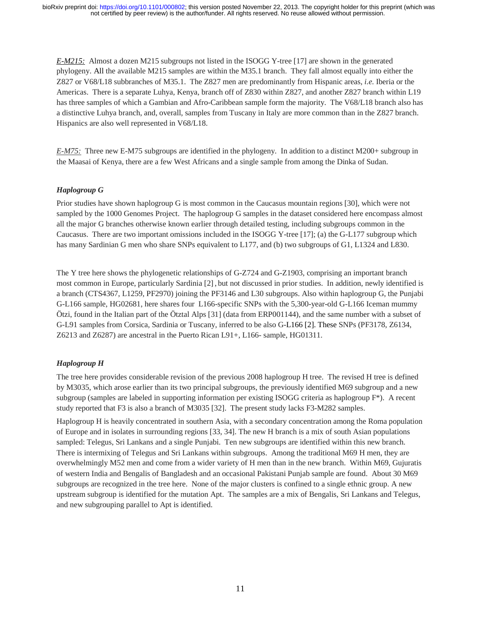*E-M215:* Almost a dozen M215 subgroups not listed in the ISOGG Y-tree [17] are shown in the generated phylogeny. All the available M215 samples are within the M35.1 branch. They fall almost equally into either the Z827 or V68/L18 subbranches of M35.1. The Z827 men are predominantly from Hispanic areas, *i.e.* Iberia or the Americas. There is a separate Luhya, Kenya, branch off of Z830 within Z827, and another Z827 branch within L19 has three samples of which a Gambian and Afro-Caribbean sample form the majority. The V68/L18 branch also has a distinctive Luhya branch, and, overall, samples from Tuscany in Italy are more common than in the Z827 branch. Hispanics are also well represented in V68/L18.

*E-M75:* Three new E-M75 subgroups are identified in the phylogeny. In addition to a distinct M200+ subgroup in the Maasai of Kenya, there are a few West Africans and a single sample from among the Dinka of Sudan.

# *Haplogroup G*

Prior studies have shown haplogroup G is most common in the Caucasus mountain regions [30], which were not sampled by the 1000 Genomes Project. The haplogroup G samples in the dataset considered here encompass almost all the major G branches otherwise known earlier through detailed testing, including subgroups common in the Caucasus. There are two important omissions included in the ISOGG Y-tree [17]; (a) the G-L177 subgroup which has many Sardinian G men who share SNPs equivalent to L177, and (b) two subgroups of G1, L1324 and L830.

The Y tree here shows the phylogenetic relationships of G-Z724 and G-Z1903, comprising an important branch most common in Europe, particularly Sardinia [2] , but not discussed in prior studies. In addition, newly identified is a branch (CTS4367, L1259, PF2970) joining the PF3146 and L30 subgroups. Also within haplogroup G, the Punjabi G-L166 sample, HG02681, here shares four L166-specific SNPs with the 5,300-year-old G-L166 Iceman mummy Ötzi, found in the Italian part of the Ötztal Alps [31] (data from ERP001144), and the same number with a subset of G-L91 samples from Corsica, Sardinia or Tuscany, inferred to be also G-L166 [2]. These SNPs (PF3178, Z6134, Z6213 and Z6287) are ancestral in the Puerto Rican L91+, L166- sample, HG01311.

# *Haplogroup H*

The tree here provides considerable revision of the previous 2008 haplogroup H tree. The revised H tree is defined by M3035, which arose earlier than its two principal subgroups, the previously identified M69 subgroup and a new subgroup (samples are labeled in supporting information per existing ISOGG criteria as haplogroup F\*). A recent study reported that F3 is also a branch of M3035 [32]. The present study lacks F3-M282 samples.

Haplogroup H is heavily concentrated in southern Asia, with a secondary concentration among the Roma population of Europe and in isolates in surrounding regions [33, 34]. The new H branch is a mix of south Asian populations sampled: Telegus, Sri Lankans and a single Punjabi. Ten new subgroups are identified within this new branch. There is intermixing of Telegus and Sri Lankans within subgroups. Among the traditional M69 H men, they are overwhelmingly M52 men and come from a wider variety of H men than in the new branch. Within M69, Gujuratis of western India and Bengalis of Bangladesh and an occasional Pakistani Punjab sample are found. About 30 M69 subgroups are recognized in the tree here. None of the major clusters is confined to a single ethnic group. A new upstream subgroup is identified for the mutation Apt. The samples are a mix of Bengalis, Sri Lankans and Telegus, and new subgrouping parallel to Apt is identified.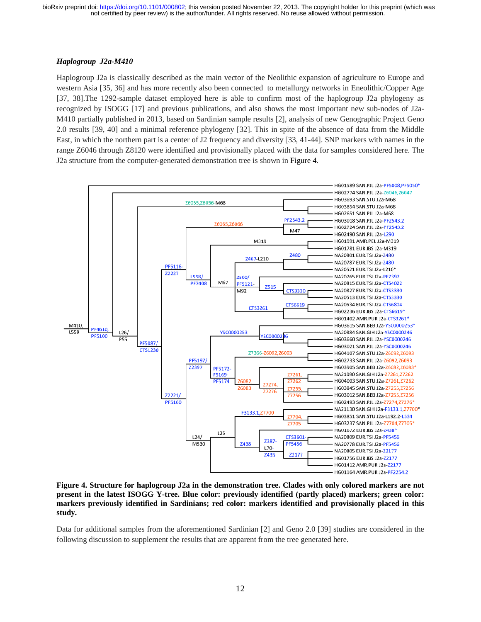### *Haplogroup J2a-M410*

Haplogroup J2a is classically described as the main vector of the Neolithic expansion of agriculture to Europe and western Asia [35, 36] and has more recently also been connected to metallurgy networks in Eneolithic/Copper Age [37, 38].The 1292-sample dataset employed here is able to confirm most of the haplogroup J2a phylogeny as recognized by ISOGG [17] and previous publications, and also shows the most important new sub-nodes of J2a-M410 partially published in 2013, based on Sardinian sample results [2], analysis of new Genographic Project Geno 2.0 results [39, 40] and a minimal reference phylogeny [32]. This in spite of the absence of data from the Middle East, in which the northern part is a center of J2 frequency and diversity [33, 41-44]. SNP markers with names in the range Z6046 through Z8120 were identified and provisionally placed with the data for samples considered here. The J2a structure from the computer-generated demonstration tree is shown in Figure 4.



**Figure 4. Structure for haplogroup J2a in the demonstration tree. Clades with only colored markers are not present in the latest ISOGG Y-tree. Blue color: previously identified (partly placed) markers; green color: markers previously identified in Sardinians; red color: markers identified and provisionally placed in this study.**

Data for additional samples from the aforementioned Sardinian [2] and Geno 2.0 [39] studies are considered in the following discussion to supplement the results that are apparent from the tree generated here.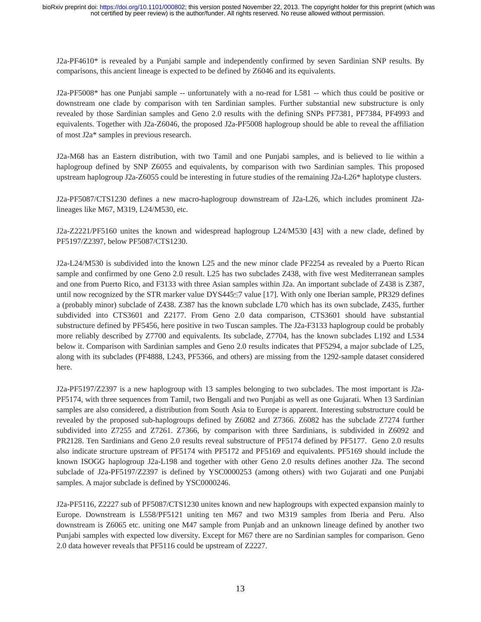J2a-PF4610\* is revealed by a Punjabi sample and independently confirmed by seven Sardinian SNP results. By comparisons, this ancient lineage is expected to be defined by Z6046 and its equivalents.

J2a-PF5008\* has one Punjabi sample -- unfortunately with a no-read for L581 -- which thus could be positive or downstream one clade by comparison with ten Sardinian samples. Further substantial new substructure is only revealed by those Sardinian samples and Geno 2.0 results with the defining SNPs PF7381, PF7384, PF4993 and equivalents. Together with J2a-Z6046, the proposed J2a-PF5008 haplogroup should be able to reveal the affiliation of most J2a\* samples in previous research.

J2a-M68 has an Eastern distribution, with two Tamil and one Punjabi samples, and is believed to lie within a haplogroup defined by SNP Z6055 and equivalents, by comparison with two Sardinian samples. This proposed upstream haplogroup J2a-Z6055 could be interesting in future studies of the remaining J2a-L26\* haplotype clusters.

J2a-PF5087/CTS1230 defines a new macro-haplogroup downstream of J2a-L26, which includes prominent J2alineages like M67, M319, L24/M530, etc.

J2a-Z2221/PF5160 unites the known and widespread haplogroup L24/M530 [43] with a new clade, defined by PF5197/Z2397, below PF5087/CTS1230.

J2a-L24/M530 is subdivided into the known L25 and the new minor clade PF2254 as revealed by a Puerto Rican sample and confirmed by one Geno 2.0 result. L25 has two subclades Z438, with five west Mediterranean samples and one from Puerto Rico, and F3133 with three Asian samples within J2a. An important subclade of Z438 is Z387, until now recognized by the STR marker value DYS445≤7 value [17]. With only one Iberian sample, PR329 defines a (probably minor) subclade of Z438. Z387 has the known subclade L70 which has its own subclade, Z435, further subdivided into CTS3601 and Z2177. From Geno 2.0 data comparison, CTS3601 should have substantial substructure defined by PF5456, here positive in two Tuscan samples. The J2a-F3133 haplogroup could be probably more reliably described by Z7700 and equivalents. Its subclade, Z7704, has the known subclades L192 and L534 below it. Comparison with Sardinian samples and Geno 2.0 results indicates that PF5294, a major subclade of L25, along with its subclades (PF4888, L243, PF5366, and others) are missing from the 1292-sample dataset considered here.

J2a-PF5197/Z2397 is a new haplogroup with 13 samples belonging to two subclades. The most important is J2a-PF5174, with three sequences from Tamil, two Bengali and two Punjabi as well as one Gujarati. When 13 Sardinian samples are also considered, a distribution from South Asia to Europe is apparent. Interesting substructure could be revealed by the proposed sub-haplogroups defined by Z6082 and Z7366. Z6082 has the subclade Z7274 further subdivided into Z7255 and Z7261. Z7366, by comparison with three Sardinians, is subdivided in Z6092 and PR2128. Ten Sardinians and Geno 2.0 results reveal substructure of PF5174 defined by PF5177. Geno 2.0 results also indicate structure upstream of PF5174 with PF5172 and PF5169 and equivalents. PF5169 should include the known ISOGG haplogroup J2a-L198 and together with other Geno 2.0 results defines another J2a. The second subclade of J2a-PF5197/Z2397 is defined by YSC0000253 (among others) with two Gujarati and one Punjabi samples. A major subclade is defined by YSC0000246.

J2a-PF5116, Z2227 sub of PF5087/CTS1230 unites known and new haplogroups with expected expansion mainly to Europe. Downstream is L558/PF5121 uniting ten M67 and two M319 samples from Iberia and Peru. Also downstream is Z6065 etc. uniting one M47 sample from Punjab and an unknown lineage defined by another two Punjabi samples with expected low diversity. Except for M67 there are no Sardinian samples for comparison. Geno 2.0 data however reveals that PF5116 could be upstream of Z2227.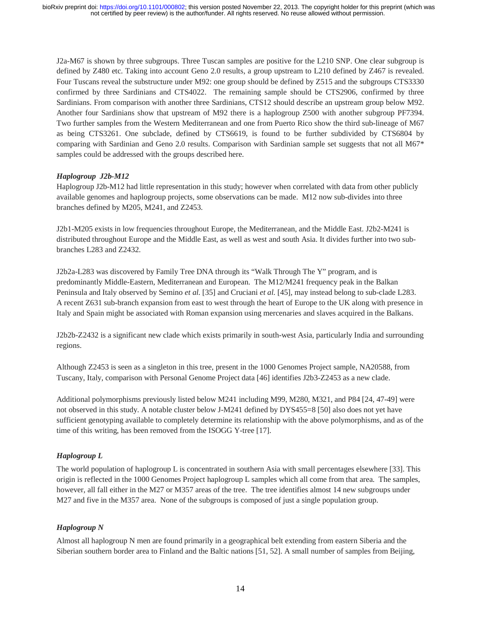J2a-M67 is shown by three subgroups. Three Tuscan samples are positive for the L210 SNP. One clear subgroup is defined by Z480 etc. Taking into account Geno 2.0 results, a group upstream to L210 defined by Z467 is revealed. Four Tuscans reveal the substructure under M92: one group should be defined by Z515 and the subgroups CTS3330 confirmed by three Sardinians and CTS4022. The remaining sample should be CTS2906, confirmed by three Sardinians. From comparison with another three Sardinians, CTS12 should describe an upstream group below M92. Another four Sardinians show that upstream of M92 there is a haplogroup Z500 with another subgroup PF7394. Two further samples from the Western Mediterranean and one from Puerto Rico show the third sub-lineage of M67 as being CTS3261. One subclade, defined by CTS6619, is found to be further subdivided by CTS6804 by comparing with Sardinian and Geno 2.0 results. Comparison with Sardinian sample set suggests that not all M67\* samples could be addressed with the groups described here.

# *Haplogroup J2b-M12*

Haplogroup J2b-M12 had little representation in this study; however when correlated with data from other publicly available genomes and haplogroup projects, some observations can be made. M12 now sub-divides into three branches defined by M205, M241, and Z2453.

J2b1-M205 exists in low frequencies throughout Europe, the Mediterranean, and the Middle East. J2b2-M241 is distributed throughout Europe and the Middle East, as well as west and south Asia. It divides further into two subbranches L283 and Z2432.

J2b2a-L283 was discovered by Family Tree DNA through its "Walk Through The Y" program, and is predominantly Middle-Eastern, Mediterranean and European. The M12/M241 frequency peak in the Balkan Peninsula and Italy observed by Semino *et al.* [35] and Cruciani *et al.* [45], may instead belong to sub-clade L283. A recent Z631 sub-branch expansion from east to west through the heart of Europe to the UK along with presence in Italy and Spain might be associated with Roman expansion using mercenaries and slaves acquired in the Balkans.

J2b2b-Z2432 is a significant new clade which exists primarily in south-west Asia, particularly India and surrounding regions.

Although Z2453 is seen as a singleton in this tree, present in the 1000 Genomes Project sample, NA20588, from Tuscany, Italy, comparison with Personal Genome Project data [46] identifies J2b3-Z2453 as a new clade.

Additional polymorphisms previously listed below M241 including M99, M280, M321, and P84 [24, 47-49] were not observed in this study. A notable cluster below J-M241 defined by DYS455=8 [50] also does not yet have sufficient genotyping available to completely determine its relationship with the above polymorphisms, and as of the time of this writing, has been removed from the ISOGG Y-tree [17].

# *Haplogroup L*

The world population of haplogroup L is concentrated in southern Asia with small percentages elsewhere [33]. This origin is reflected in the 1000 Genomes Project haplogroup L samples which all come from that area. The samples, however, all fall either in the M27 or M357 areas of the tree. The tree identifies almost 14 new subgroups under M27 and five in the M357 area. None of the subgroups is composed of just a single population group.

### *Haplogroup N*

Almost all haplogroup N men are found primarily in a geographical belt extending from eastern Siberia and the Siberian southern border area to Finland and the Baltic nations [51, 52]. A small number of samples from Beijing,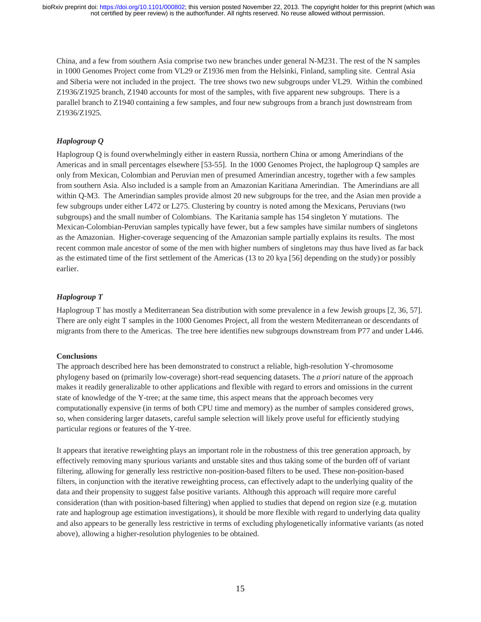China, and a few from southern Asia comprise two new branches under general N-M231. The rest of the N samples in 1000 Genomes Project come from VL29 or Z1936 men from the Helsinki, Finland, sampling site. Central Asia and Siberia were not included in the project. The tree shows two new subgroups under VL29. Within the combined Z1936/Z1925 branch, Z1940 accounts for most of the samples, with five apparent new subgroups. There is a parallel branch to Z1940 containing a few samples, and four new subgroups from a branch just downstream from Z1936/Z1925.

# *Haplogroup Q*

Haplogroup Q is found overwhelmingly either in eastern Russia, northern China or among Amerindians of the Americas and in small percentages elsewhere [53-55]. In the 1000 Genomes Project, the haplogroup Q samples are only from Mexican, Colombian and Peruvian men of presumed Amerindian ancestry, together with a few samples from southern Asia. Also included is a sample from an Amazonian Karitiana Amerindian. The Amerindians are all within Q-M3. The Amerindian samples provide almost 20 new subgroups for the tree, and the Asian men provide a few subgroups under either L472 or L275. Clustering by country is noted among the Mexicans, Peruvians (two subgroups) and the small number of Colombians. The Karitania sample has 154 singleton Y mutations. The Mexican-Colombian-Peruvian samples typically have fewer, but a few samples have similar numbers of singletons as the Amazonian. Higher-coverage sequencing of the Amazonian sample partially explains its results. The most recent common male ancestor of some of the men with higher numbers of singletons may thus have lived as far back as the estimated time of the first settlement of the Americas (13 to 20 kya [56] depending on the study) or possibly earlier.

### *Haplogroup T*

Haplogroup T has mostly a Mediterranean Sea distribution with some prevalence in a few Jewish groups [2, 36, 57]. There are only eight T samples in the 1000 Genomes Project, all from the western Mediterranean or descendants of migrants from there to the Americas. The tree here identifies new subgroups downstream from P77 and under L446.

### **Conclusions**

The approach described here has been demonstrated to construct a reliable, high-resolution Y-chromosome phylogeny based on (primarily low-coverage) short-read sequencing datasets. The *a priori* nature of the approach makes it readily generalizable to other applications and flexible with regard to errors and omissions in the current state of knowledge of the Y-tree; at the same time, this aspect means that the approach becomes very computationally expensive (in terms of both CPU time and memory) as the number of samples considered grows, so, when considering larger datasets, careful sample selection will likely prove useful for efficiently studying particular regions or features of the Y-tree.

It appears that iterative reweighting plays an important role in the robustness of this tree generation approach, by effectively removing many spurious variants and unstable sites and thus taking some of the burden off of variant filtering, allowing for generally less restrictive non-position-based filters to be used. These non-position-based filters, in conjunction with the iterative reweighting process, can effectively adapt to the underlying quality of the data and their propensity to suggest false positive variants. Although this approach will require more careful consideration (than with position-based filtering) when applied to studies that depend on region size (e.g. mutation rate and haplogroup age estimation investigations), it should be more flexible with regard to underlying data quality and also appears to be generally less restrictive in terms of excluding phylogenetically informative variants (as noted above), allowing a higher-resolution phylogenies to be obtained.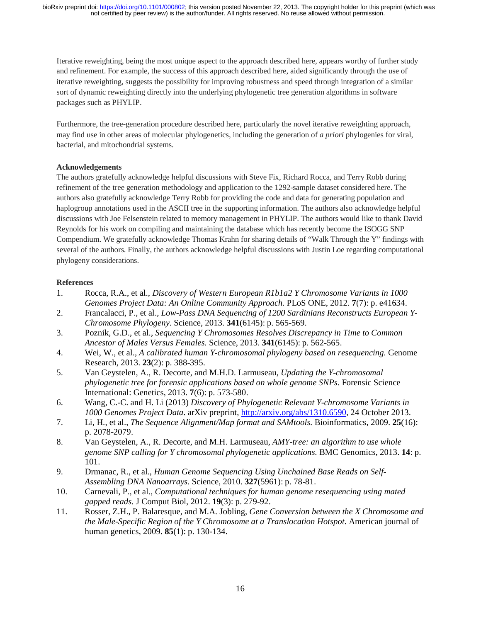Iterative reweighting, being the most unique aspect to the approach described here, appears worthy of further study and refinement. For example, the success of this approach described here, aided significantly through the use of iterative reweighting, suggests the possibility for improving robustness and speed through integration of a similar sort of dynamic reweighting directly into the underlying phylogenetic tree generation algorithms in software packages such as PHYLIP.

Furthermore, the tree-generation procedure described here, particularly the novel iterative reweighting approach, may find use in other areas of molecular phylogenetics, including the generation of *a priori* phylogenies for viral, bacterial, and mitochondrial systems.

# **Acknowledgements**

The authors gratefully acknowledge helpful discussions with Steve Fix, Richard Rocca, and Terry Robb during refinement of the tree generation methodology and application to the 1292-sample dataset considered here. The authors also gratefully acknowledge Terry Robb for providing the code and data for generating population and haplogroup annotations used in the ASCII tree in the supporting information. The authors also acknowledge helpful discussions with Joe Felsenstein related to memory management in PHYLIP. The authors would like to thank David Reynolds for his work on compiling and maintaining the database which has recently become the ISOGG SNP Compendium. We gratefully acknowledge Thomas Krahn for sharing details of "Walk Through the Y" findings with several of the authors. Finally, the authors acknowledge helpful discussions with Justin Loe regarding computational phylogeny considerations.

# **References**

- 1. Rocca, R.A., et al., *Discovery of Western European R1b1a2 Y Chromosome Variants in 1000 Genomes Project Data: An Online Community Approach.* PLoS ONE, 2012. **7**(7): p. e41634.
- 2. Francalacci, P., et al., *Low-Pass DNA Sequencing of 1200 Sardinians Reconstructs European Y-Chromosome Phylogeny.* Science, 2013. **341**(6145): p. 565-569.
- 3. Poznik, G.D., et al., *Sequencing Y Chromosomes Resolves Discrepancy in Time to Common Ancestor of Males Versus Females.* Science, 2013. **341**(6145): p. 562-565.
- 4. Wei, W., et al., *A calibrated human Y-chromosomal phylogeny based on resequencing.* Genome Research, 2013. **23**(2): p. 388-395.
- 5. Van Geystelen, A., R. Decorte, and M.H.D. Larmuseau, *Updating the Y-chromosomal phylogenetic tree for forensic applications based on whole genome SNPs.* Forensic Science International: Genetics, 2013. **7**(6): p. 573-580.
- 6. Wang, C.-C. and H. Li (2013) *Discovery of Phylogenetic Relevant Y-chromosome Variants in 1000 Genomes Project Data*. arXiv preprint, http://arxiv.org/abs/1310.6590, 24 October 2013.
- 7. Li, H., et al., *The Sequence Alignment/Map format and SAMtools.* Bioinformatics, 2009. **25**(16): p. 2078-2079.
- 8. Van Geystelen, A., R. Decorte, and M.H. Larmuseau, *AMY-tree: an algorithm to use whole genome SNP calling for Y chromosomal phylogenetic applications.* BMC Genomics, 2013. **14**: p. 101.
- 9. Drmanac, R., et al., *Human Genome Sequencing Using Unchained Base Reads on Self-Assembling DNA Nanoarrays.* Science, 2010. **327**(5961): p. 78-81.
- 10. Carnevali, P., et al., *Computational techniques for human genome resequencing using mated gapped reads.* J Comput Biol, 2012. **19**(3): p. 279-92.
- 11. Rosser, Z.H., P. Balaresque, and M.A. Jobling, *Gene Conversion between the X Chromosome and the Male-Specific Region of the Y Chromosome at a Translocation Hotspot.* American journal of human genetics, 2009. **85**(1): p. 130-134.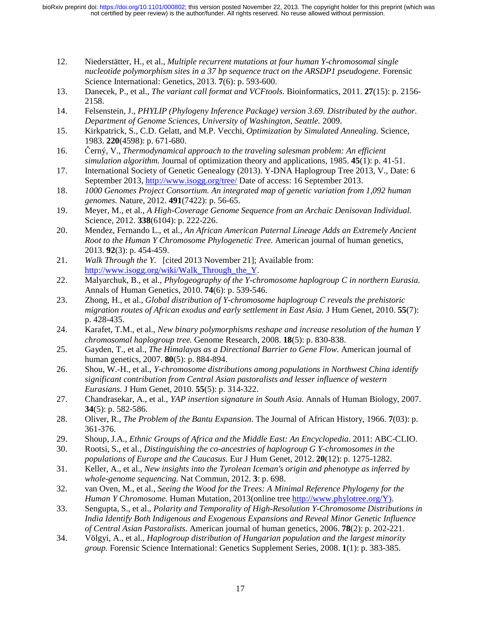- 12. Niederstätter, H., et al., *Multiple recurrent mutations at four human Y-chromosomal single nucleotide polymorphism sites in a 37 bp sequence tract on the ARSDP1 pseudogene.* Forensic Science International: Genetics, 2013. **7**(6): p. 593-600.
- 13. Danecek, P., et al., *The variant call format and VCFtools.* Bioinformatics, 2011. **27**(15): p. 2156- 2158.
- 14. Felsenstein, J., *PHYLIP (Phylogeny Inference Package) version 3.69. Distributed by the author. Department of Genome Sciences, University of Washington, Seattle.* 2009.
- 15. Kirkpatrick, S., C.D. Gelatt, and M.P. Vecchi, *Optimization by Simulated Annealing.* Science, 1983. **220**(4598): p. 671-680.
- 16. Černý, V., *Thermodynamical approach to the traveling salesman problem: An efficient simulation algorithm.* Journal of optimization theory and applications, 1985. **45**(1): p. 41-51.
- 17. International Society of Genetic Genealogy (2013). Y-DNA Haplogroup Tree 2013, V., Date: 6 September 2013, http://www.isogg.org/tree/ Date of access: 16 September 2013.
- 18. *1000 Genomes Project Consortium. An integrated map of genetic variation from 1,092 human genomes.* Nature, 2012. **491**(7422): p. 56-65.
- 19. Meyer, M., et al., *A High-Coverage Genome Sequence from an Archaic Denisovan Individual.* Science, 2012. **338**(6104): p. 222-226.
- 20. Mendez, Fernando L., et al., *An African American Paternal Lineage Adds an Extremely Ancient Root to the Human Y Chromosome Phylogenetic Tree.* American journal of human genetics, 2013. **92**(3): p. 454-459.
- 21. *Walk Through the Y*. [cited 2013 November 21]; Available from: http://www.isogg.org/wiki/Walk\_Through\_the\_Y.
- 22. Malyarchuk, B., et al., *Phylogeography of the Y-chromosome haplogroup C in northern Eurasia.* Annals of Human Genetics, 2010. **74**(6): p. 539-546.
- 23. Zhong, H., et al., *Global distribution of Y-chromosome haplogroup C reveals the prehistoric migration routes of African exodus and early settlement in East Asia.* J Hum Genet, 2010. **55**(7): p. 428-435.
- 24. Karafet, T.M., et al., *New binary polymorphisms reshape and increase resolution of the human Y chromosomal haplogroup tree.* Genome Research, 2008. **18**(5): p. 830-838.
- 25. Gayden, T., et al., *The Himalayas as a Directional Barrier to Gene Flow.* American journal of human genetics, 2007. **80**(5): p. 884-894.
- 26. Shou, W.-H., et al., *Y-chromosome distributions among populations in Northwest China identify significant contribution from Central Asian pastoralists and lesser influence of western Eurasians.* J Hum Genet, 2010. **55**(5): p. 314-322.
- 27. Chandrasekar, A., et al., *YAP insertion signature in South Asia.* Annals of Human Biology, 2007. **34**(5): p. 582-586.
- 28. Oliver, R., *The Problem of the Bantu Expansion.* The Journal of African History, 1966. **7**(03): p. 361-376.
- 29. Shoup, J.A., *Ethnic Groups of Africa and the Middle East: An Encyclopedia*. 2011: ABC-CLIO.
- 30. Rootsi, S., et al., *Distinguishing the co-ancestries of haplogroup G Y-chromosomes in the populations of Europe and the Caucasus.* Eur J Hum Genet, 2012. **20**(12): p. 1275-1282.
- 31. Keller, A., et al., *New insights into the Tyrolean Iceman's origin and phenotype as inferred by whole-genome sequencing.* Nat Commun, 2012. **3**: p. 698.
- 32. van Oven, M., et al., *Seeing the Wood for the Trees: A Minimal Reference Phylogeny for the Human Y Chromosome.* Human Mutation, 2013(online tree http://www.phylotree.org/Y).
- 33. Sengupta, S., et al., *Polarity and Temporality of High-Resolution Y-Chromosome Distributions in India Identify Both Indigenous and Exogenous Expansions and Reveal Minor Genetic Influence of Central Asian Pastoralists.* American journal of human genetics, 2006. **78**(2): p. 202-221.
- 34. Völgyi, A., et al., *Haplogroup distribution of Hungarian population and the largest minority group.* Forensic Science International: Genetics Supplement Series, 2008. **1**(1): p. 383-385.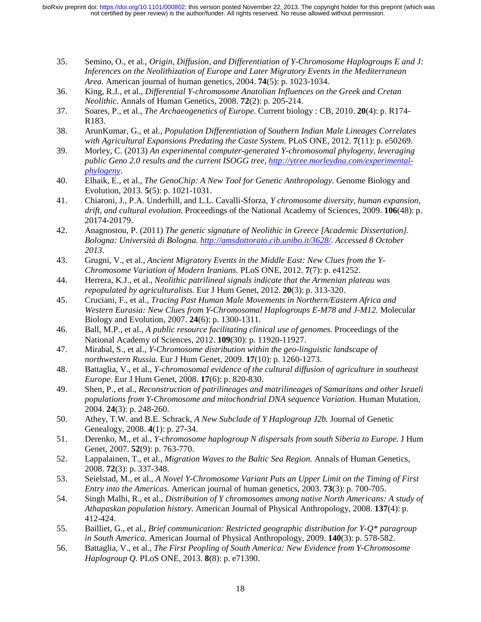- 35. Semino, O., et al., *Origin, Diffusion, and Differentiation of Y-Chromosome Haplogroups E and J: Inferences on the Neolithization of Europe and Later Migratory Events in the Mediterranean Area.* American journal of human genetics, 2004. **74**(5): p. 1023-1034.
- 36. King, R.J., et al., *Differential Y-chromosome Anatolian Influences on the Greek and Cretan Neolithic.* Annals of Human Genetics, 2008. **72**(2): p. 205-214.
- 37. Soares, P., et al., *The Archaeogenetics of Europe.* Current biology : CB, 2010. **20**(4): p. R174- R183.
- 38. ArunKumar, G., et al., *Population Differentiation of Southern Indian Male Lineages Correlates with Agricultural Expansions Predating the Caste System.* PLoS ONE, 2012. **7**(11): p. e50269.
- 39. Morley, C. (2013) *An experimental computer-generated Y-chromosomal phylogeny, leveraging public Geno 2.0 results and the current ISOGG tree, http://ytree.morleydna.com/experimentalphylogeny*.
- 40. Elhaik, E., et al., *The GenoChip: A New Tool for Genetic Anthropology.* Genome Biology and Evolution, 2013. **5**(5): p. 1021-1031.
- 41. Chiaroni, J., P.A. Underhill, and L.L. Cavalli-Sforza, *Y chromosome diversity, human expansion, drift, and cultural evolution.* Proceedings of the National Academy of Sciences, 2009. **106**(48): p. 20174-20179.
- 42. Anagnostou, P. (2011) *The genetic signature of Neolithic in Greece [Academic Dissertation]. Bologna: Università di Bologna. http://amsdottorato.cib.unibo.it/3628/. Accessed 8 October 2013*.
- 43. Grugni, V., et al., *Ancient Migratory Events in the Middle East: New Clues from the Y-Chromosome Variation of Modern Iranians.* PLoS ONE, 2012. **7**(7): p. e41252.
- 44. Herrera, K.J., et al., *Neolithic patrilineal signals indicate that the Armenian plateau was repopulated by agriculturalists.* Eur J Hum Genet, 2012. **20**(3): p. 313-320.
- 45. Cruciani, F., et al., *Tracing Past Human Male Movements in Northern/Eastern Africa and Western Eurasia: New Clues from Y-Chromosomal Haplogroups E-M78 and J-M12.* Molecular Biology and Evolution, 2007. **24**(6): p. 1300-1311.
- 46. Ball, M.P., et al., *A public resource facilitating clinical use of genomes.* Proceedings of the National Academy of Sciences, 2012. **109**(30): p. 11920-11927.
- 47. Mirabal, S., et al., *Y-Chromosome distribution within the geo-linguistic landscape of northwestern Russia.* Eur J Hum Genet, 2009. **17**(10): p. 1260-1273.
- 48. Battaglia, V., et al., *Y-chromosomal evidence of the cultural diffusion of agriculture in southeast Europe.* Eur J Hum Genet, 2008. **17**(6): p. 820-830.
- 49. Shen, P., et al., *Reconstruction of patrilineages and matrilineages of Samaritans and other Israeli populations from Y-Chromosome and mitochondrial DNA sequence Variation.* Human Mutation, 2004. **24**(3): p. 248-260.
- 50. Athey, T.W. and B.E. Schrack, *A New Subclade of Y Haplogroup J2b.* Journal of Genetic Genealogy, 2008. **4**(1): p. 27-34.
- 51. Derenko, M., et al., *Y-chromosome haplogroup N dispersals from south Siberia to Europe.* J Hum Genet, 2007. **52**(9): p. 763-770.
- 52. Lappalainen, T., et al., *Migration Waves to the Baltic Sea Region.* Annals of Human Genetics, 2008. **72**(3): p. 337-348.
- 53. Seielstad, M., et al., *A Novel Y-Chromosome Variant Puts an Upper Limit on the Timing of First Entry into the Americas.* American journal of human genetics, 2003. **73**(3): p. 700-705.
- 54. Singh Malhi, R., et al., *Distribution of Y chromosomes among native North Americans: A study of Athapaskan population history.* American Journal of Physical Anthropology, 2008. **137**(4): p. 412-424.
- 55. Bailliet, G., et al., *Brief communication: Restricted geographic distribution for Y-Q\* paragroup in South America.* American Journal of Physical Anthropology, 2009. **140**(3): p. 578-582.
- 56. Battaglia, V., et al., *The First Peopling of South America: New Evidence from Y-Chromosome Haplogroup Q.* PLoS ONE, 2013. **8**(8): p. e71390.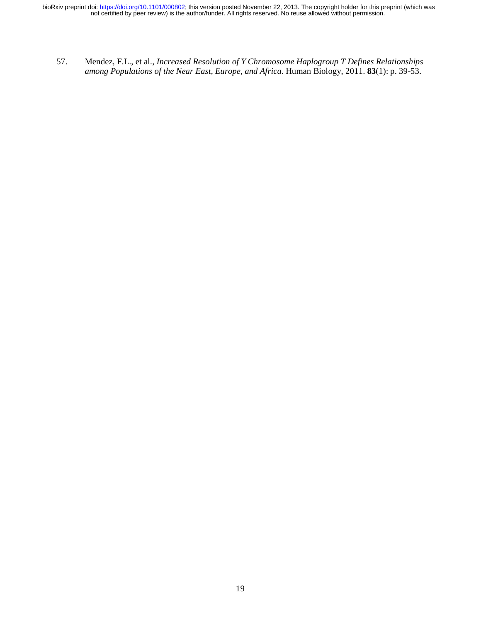not certified by peer review) is the author/funder. All rights reserved. No reuse allowed without permission. bioRxiv preprint doi: [https://doi.org/10.1101/000802;](https://doi.org/10.1101/000802) this version posted November 22, 2013. The copyright holder for this preprint (which was

57. Mendez, F.L., et al., *Increased Resolution of Y Chromosome Haplogroup T Defines Relationships among Populations of the Near East, Europe, and Africa.* Human Biology, 2011. **83**(1): p. 39-53.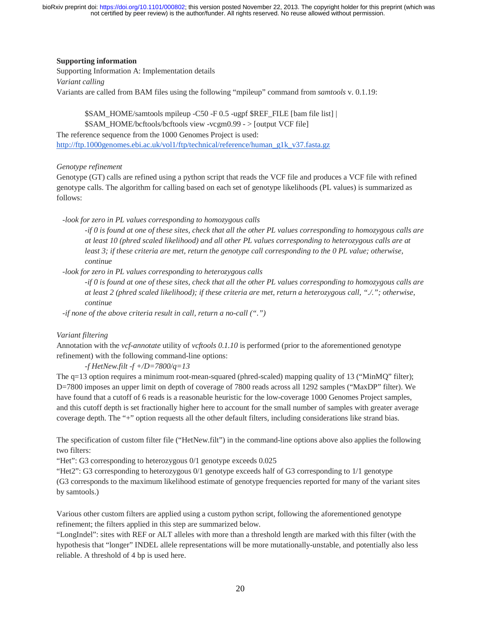### **Supporting information**

Supporting Information A: Implementation details *Variant calling* Variants are called from BAM files using the following "mpileup" command from *samtools* v. 0.1.19:

\$SAM\_HOME/samtools mpileup -C50 -F 0.5 -ugpf \$REF\_FILE [bam file list] | \$SAM\_HOME/bcftools/bcftools view -vcgm0.99 - > [output VCF file] The reference sequence from the 1000 Genomes Project is used: http://ftp.1000genomes.ebi.ac.uk/vol1/ftp/technical/reference/human\_g1k\_v37.fasta.gz

#### *Genotype refinement*

Genotype (GT) calls are refined using a python script that reads the VCF file and produces a VCF file with refined genotype calls. The algorithm for calling based on each set of genotype likelihoods (PL values) is summarized as follows:

 *-look for zero in PL values corresponding to homozygous calls*

*-if 0 is found at one of these sites, check that all the other PL values corresponding to homozygous calls are at least 10 (phred scaled likelihood) and all other PL values corresponding to heterozygous calls are at least 3; if these criteria are met, return the genotype call corresponding to the 0 PL value; otherwise, continue*

 *-look for zero in PL values corresponding to heterozygous calls*

*-if 0 is found at one of these sites, check that all the other PL values corresponding to homozygous calls are at least 2 (phred scaled likelihood); if these criteria are met, return a heterozygous call, "./."; otherwise, continue*

 *-if none of the above criteria result in call, return a no-call (".")*

### *Variant filtering*

Annotation with the *vcf-annotate* utility of *vcftools 0.1.10* is performed (prior to the aforementioned genotype refinement) with the following command-line options:

*-f HetNew.filt -f +/D=7800/q=13*

The q=13 option requires a minimum root-mean-squared (phred-scaled) mapping quality of 13 ("MinMQ" filter); D=7800 imposes an upper limit on depth of coverage of 7800 reads across all 1292 samples ("MaxDP" filter). We have found that a cutoff of 6 reads is a reasonable heuristic for the low-coverage 1000 Genomes Project samples, and this cutoff depth is set fractionally higher here to account for the small number of samples with greater average coverage depth. The "+" option requests all the other default filters, including considerations like strand bias.

The specification of custom filter file ("HetNew.filt") in the command-line options above also applies the following two filters:

"Het": G3 corresponding to heterozygous 0/1 genotype exceeds 0.025

"Het2": G3 corresponding to heterozygous 0/1 genotype exceeds half of G3 corresponding to 1/1 genotype (G3 corresponds to the maximum likelihood estimate of genotype frequencies reported for many of the variant sites by samtools.)

Various other custom filters are applied using a custom python script, following the aforementioned genotype refinement; the filters applied in this step are summarized below.

"LongIndel": sites with REF or ALT alleles with more than a threshold length are marked with this filter (with the hypothesis that "longer" INDEL allele representations will be more mutationally-unstable, and potentially also less reliable. A threshold of 4 bp is used here.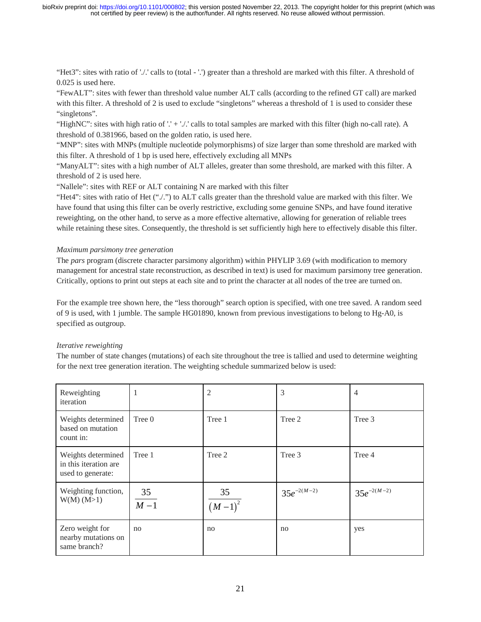"Het3": sites with ratio of './.' calls to (total - '.') greater than a threshold are marked with this filter. A threshold of 0.025 is used here.

"FewALT": sites with fewer than threshold value number ALT calls (according to the refined GT call) are marked with this filter. A threshold of 2 is used to exclude "singletons" whereas a threshold of 1 is used to consider these "singletons".

"HighNC": sites with high ratio of '.' + './.' calls to total samples are marked with this filter (high no-call rate). A threshold of 0.381966, based on the golden ratio, is used here.

"MNP": sites with MNPs (multiple nucleotide polymorphisms) of size larger than some threshold are marked with this filter. A threshold of 1 bp is used here, effectively excluding all MNPs

"ManyALT": sites with a high number of ALT alleles, greater than some threshold, are marked with this filter. A threshold of 2 is used here.

"Nallele": sites with REF or ALT containing N are marked with this filter

"Het4": sites with ratio of Het ("./.") to ALT calls greater than the threshold value are marked with this filter. We have found that using this filter can be overly restrictive, excluding some genuine SNPs, and have found iterative reweighting, on the other hand, to serve as a more effective alternative, allowing for generation of reliable trees while retaining these sites. Consequently, the threshold is set sufficiently high here to effectively disable this filter.

#### *Maximum parsimony tree generation*

The *pars* program (discrete character parsimony algorithm) within PHYLIP 3.69 (with modification to memory management for ancestral state reconstruction, as described in text) is used for maximum parsimony tree generation. Critically, options to print out steps at each site and to print the character at all nodes of the tree are turned on.

For the example tree shown here, the "less thorough" search option is specified, with one tree saved. A random seed of 9 is used, with 1 jumble. The sample HG01890, known from previous investigations to belong to Hg-A0, is specified as outgroup.

### *Iterative reweighting*

The number of state changes (mutations) of each site throughout the tree is tallied and used to determine weighting for the next tree generation iteration. The weighting schedule summarized below is used:

| Reweighting<br>iteration                                         | 1           | $\overline{2}$    | 3               | 4               |
|------------------------------------------------------------------|-------------|-------------------|-----------------|-----------------|
| Weights determined<br>based on mutation<br>count in:             | Tree 0      | Tree 1            | Tree 2          | Tree 3          |
| Weights determined<br>in this iteration are<br>used to generate: | Tree 1      | Tree 2            | Tree 3          | Tree 4          |
| Weighting function,<br>W(M) (M>1)                                | 35<br>$M-1$ | 35<br>$(M-1)^{2}$ | $35e^{-2(M-2)}$ | $35e^{-2(M-2)}$ |
| Zero weight for<br>nearby mutations on<br>same branch?           | no          | no                | no              | yes             |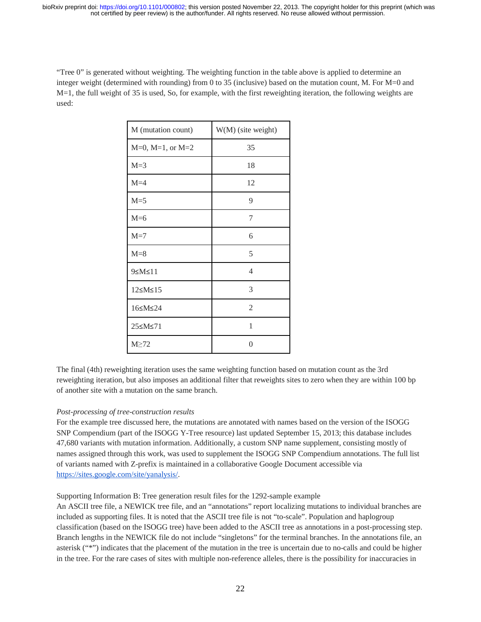"Tree 0" is generated without weighting. The weighting function in the table above is applied to determine an integer weight (determined with rounding) from 0 to 35 (inclusive) based on the mutation count, M. For M=0 and M=1, the full weight of 35 is used, So, for example, with the first reweighting iteration, the following weights are used:

| M (mutation count)                                        | W(M) (site weight) |
|-----------------------------------------------------------|--------------------|
| $M=0$ , $M=1$ , or $M=2$                                  | 35                 |
| $M=3$                                                     | 18                 |
| $M=4$                                                     | 12                 |
| $M = 5$                                                   | 9                  |
| $M=6$                                                     | 7                  |
| $M=7$                                                     | 6                  |
| $M=8$                                                     | 5                  |
| 9 <m <11<="" td=""><td><math>\overline{4}</math></td></m> | $\overline{4}$     |
| 12 <m <<br=""></m> 15                                     | 3                  |
| 16≤M≤24                                                   | $\overline{2}$     |
| 25≤M≤71                                                   | 1                  |
| $M \geq 72$                                               | 0                  |

The final (4th) reweighting iteration uses the same weighting function based on mutation count as the 3rd reweighting iteration, but also imposes an additional filter that reweights sites to zero when they are within 100 bp of another site with a mutation on the same branch.

### *Post-processing of tree-construction results*

For the example tree discussed here, the mutations are annotated with names based on the version of the ISOGG SNP Compendium (part of the ISOGG Y-Tree resource) last updated September 15, 2013; this database includes 47,680 variants with mutation information. Additionally, a custom SNP name supplement, consisting mostly of names assigned through this work, was used to supplement the ISOGG SNP Compendium annotations. The full list of variants named with Z-prefix is maintained in a collaborative Google Document accessible via https://sites.google.com/site/yanalysis/.

Supporting Information B: Tree generation result files for the 1292-sample example

An ASCII tree file, a NEWICK tree file, and an "annotations" report localizing mutations to individual branches are included as supporting files. It is noted that the ASCII tree file is not "to-scale". Population and haplogroup classification (based on the ISOGG tree) have been added to the ASCII tree as annotations in a post-processing step. Branch lengths in the NEWICK file do not include "singletons" for the terminal branches. In the annotations file, an asterisk ("\*") indicates that the placement of the mutation in the tree is uncertain due to no-calls and could be higher in the tree. For the rare cases of sites with multiple non-reference alleles, there is the possibility for inaccuracies in